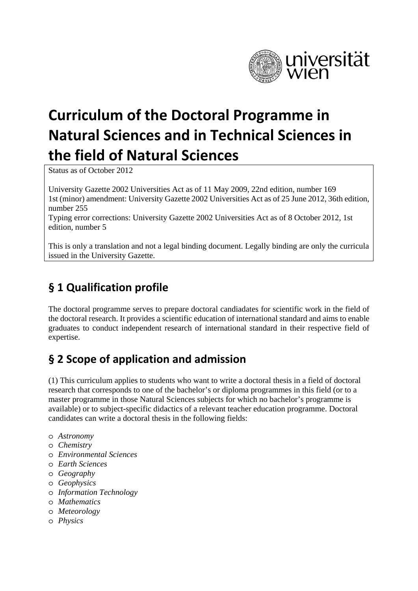

# **Curriculum of the Doctoral Programme in Natural Sciences and in Technical Sciences in the field of Natural Sciences**

Status as of October 2012

University Gazette 2002 Universities Act as of 11 May 2009, 22nd edition, number 169 1st (minor) amendment: University Gazette 2002 Universities Act as of 25 June 2012, 36th edition, number 255

Typing error corrections: University Gazette 2002 Universities Act as of 8 October 2012, 1st edition, number 5

This is only a translation and not a legal binding document. Legally binding are only the curricula issued in the University Gazette.

## **§ 1 Qualification profile**

The doctoral programme serves to prepare doctoral candiadates for scientific work in the field of the doctoral research. It provides a scientific education of international standard and aims to enable graduates to conduct independent research of international standard in their respective field of expertise.

# **§ 2 Scope of application and admission**

(1) This curriculum applies to students who want to write a doctoral thesis in a field of doctoral research that corresponds to one of the bachelor's or diploma programmes in this field (or to a master programme in those Natural Sciences subjects for which no bachelor's programme is available) or to subject-specific didactics of a relevant teacher education programme. Doctoral candidates can write a doctoral thesis in the following fields:

- o *Astronomy*
- o *Chemistry*
- o *Environmental Sciences*
- o *Earth Sciences*
- o *Geography*
- o *Geophysics*
- o *Information Technology*
- o *Mathematics*
- o *Meteorology*
- o *Physics*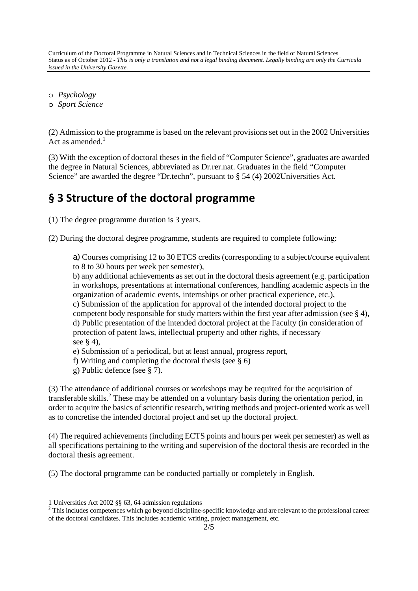Curriculum of the Doctoral Programme in Natural Sciences and in Technical Sciences in the field of Natural Sciences Status as of October 2012 - *This is only a translation and not a legal binding document. Legally binding are only the Curricula issued in the University Gazette.* 

o *Psychology* 

o *Sport Science* 

(2) Admission to the programme is based on the relevant provisions set out in the 2002 Universities Act as amended. $<sup>1</sup>$ </sup>

(3) With the exception of doctoral theses in the field of "Computer Science", graduates are awarded the degree in Natural Sciences, abbreviated as Dr.rer.nat. Graduates in the field "Computer Science" are awarded the degree "Dr.techn", pursuant to § 54 (4) 2002Universities Act.

#### **§ 3 Structure of the doctoral programme**

(1) The degree programme duration is 3 years.

(2) During the doctoral degree programme, students are required to complete following:

a) Courses comprising 12 to 30 ETCS credits (corresponding to a subject/course equivalent to 8 to 30 hours per week per semester),

b) any additional achievements as set out in the doctoral thesis agreement (e.g. participation in workshops, presentations at international conferences, handling academic aspects in the organization of academic events, internships or other practical experience, etc.),

c) Submission of the application for approval of the intended doctoral project to the competent body responsible for study matters within the first year after admission (see § 4), d) Public presentation of the intended doctoral project at the Faculty (in consideration of protection of patent laws, intellectual property and other rights, if necessary see § 4),

e) Submission of a periodical, but at least annual, progress report,

f) Writing and completing the doctoral thesis (see § 6)

g) Public defence (see § 7).

(3) The attendance of additional courses or workshops may be required for the acquisition of transferable skills.<sup>2</sup> These may be attended on a voluntary basis during the orientation period, in order to acquire the basics of scientific research, writing methods and project-oriented work as well as to concretise the intended doctoral project and set up the doctoral project.

(4) The required achievements (including ECTS points and hours per week per semester) as well as all specifications pertaining to the writing and supervision of the doctoral thesis are recorded in the doctoral thesis agreement.

(5) The doctoral programme can be conducted partially or completely in English.

-

<sup>1</sup> Universities Act 2002 §§ 63, 64 admission regulations

 $2$  This includes competences which go beyond discipline-specific knowledge and are relevant to the professional career of the doctoral candidates. This includes academic writing, project management, etc.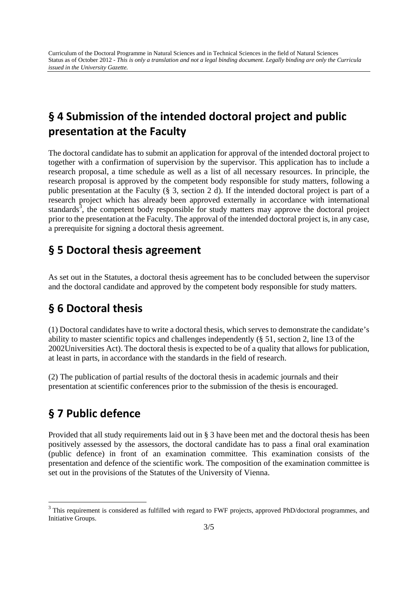# **§ 4 Submission of the intended doctoral project and public presentation at the Faculty**

The doctoral candidate has to submit an application for approval of the intended doctoral project to together with a confirmation of supervision by the supervisor. This application has to include a research proposal, a time schedule as well as a list of all necessary resources. In principle, the research proposal is approved by the competent body responsible for study matters, following a public presentation at the Faculty (§ 3, section 2 d). If the intended doctoral project is part of a research project which has already been approved externally in accordance with international standards $3$ , the competent body responsible for study matters may approve the doctoral project prior to the presentation at the Faculty. The approval of the intended doctoral project is, in any case, a prerequisite for signing a doctoral thesis agreement.

#### **§ 5 Doctoral thesis agreement**

As set out in the Statutes, a doctoral thesis agreement has to be concluded between the supervisor and the doctoral candidate and approved by the competent body responsible for study matters.

### **§ 6 Doctoral thesis**

(1) Doctoral candidates have to write a doctoral thesis, which serves to demonstrate the candidate's ability to master scientific topics and challenges independently (§ 51, section 2, line 13 of the 2002Universities Act). The doctoral thesis is expected to be of a quality that allows for publication, at least in parts, in accordance with the standards in the field of research.

(2) The publication of partial results of the doctoral thesis in academic journals and their presentation at scientific conferences prior to the submission of the thesis is encouraged.

### **§ 7 Public defence**

-

Provided that all study requirements laid out in § 3 have been met and the doctoral thesis has been positively assessed by the assessors, the doctoral candidate has to pass a final oral examination (public defence) in front of an examination committee. This examination consists of the presentation and defence of the scientific work. The composition of the examination committee is set out in the provisions of the Statutes of the University of Vienna.

<sup>&</sup>lt;sup>3</sup> This requirement is considered as fulfilled with regard to FWF projects, approved PhD/doctoral programmes, and Initiative Groups.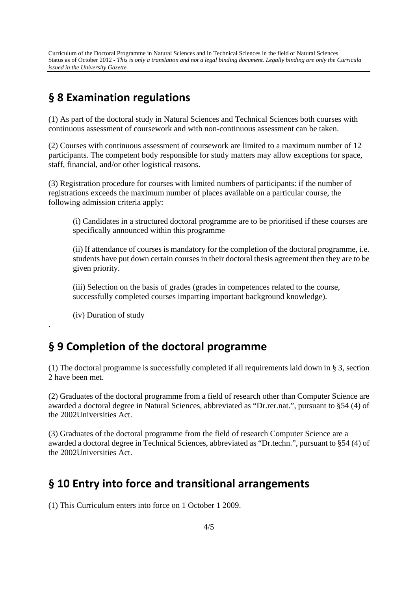Curriculum of the Doctoral Programme in Natural Sciences and in Technical Sciences in the field of Natural Sciences Status as of October 2012 - *This is only a translation and not a legal binding document. Legally binding are only the Curricula issued in the University Gazette.* 

#### **§ 8 Examination regulations**

(1) As part of the doctoral study in Natural Sciences and Technical Sciences both courses with continuous assessment of coursework and with non-continuous assessment can be taken.

(2) Courses with continuous assessment of coursework are limited to a maximum number of 12 participants. The competent body responsible for study matters may allow exceptions for space, staff, financial, and/or other logistical reasons.

(3) Registration procedure for courses with limited numbers of participants: if the number of registrations exceeds the maximum number of places available on a particular course, the following admission criteria apply:

(i) Candidates in a structured doctoral programme are to be prioritised if these courses are specifically announced within this programme

(ii) If attendance of courses is mandatory for the completion of the doctoral programme, i.e. students have put down certain courses in their doctoral thesis agreement then they are to be given priority.

(iii) Selection on the basis of grades (grades in competences related to the course, successfully completed courses imparting important background knowledge).

(iv) Duration of study

.

#### **§ 9 Completion of the doctoral programme**

(1) The doctoral programme is successfully completed if all requirements laid down in § 3, section 2 have been met.

(2) Graduates of the doctoral programme from a field of research other than Computer Science are awarded a doctoral degree in Natural Sciences, abbreviated as "Dr.rer.nat.", pursuant to §54 (4) of the 2002Universities Act.

(3) Graduates of the doctoral programme from the field of research Computer Science are a awarded a doctoral degree in Technical Sciences, abbreviated as "Dr.techn.", pursuant to §54 (4) of the 2002Universities Act.

#### **§ 10 Entry into force and transitional arrangements**

(1) This Curriculum enters into force on 1 October 1 2009.